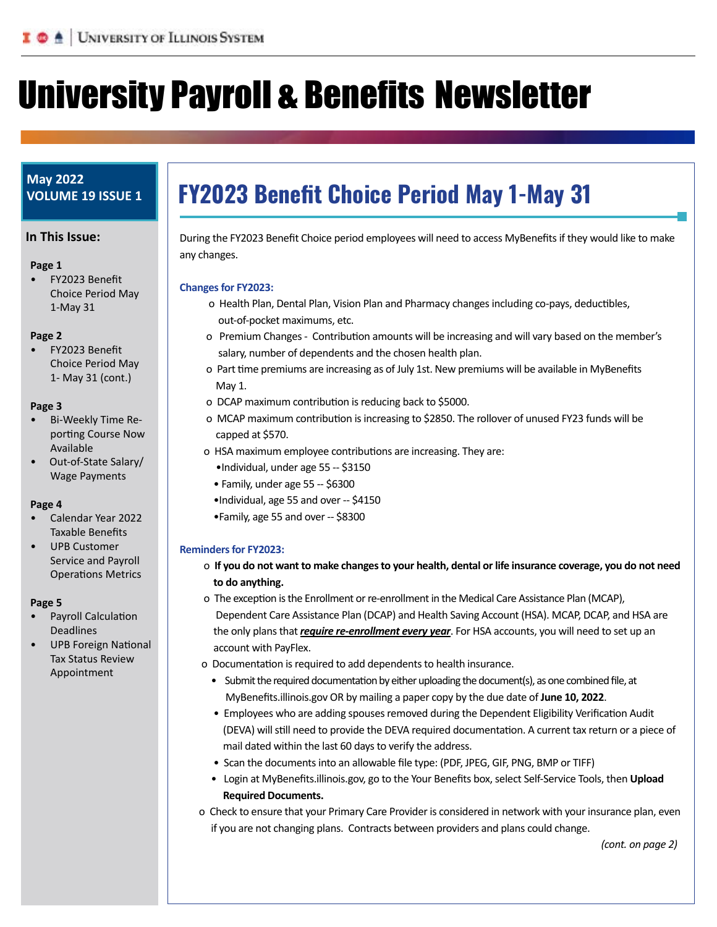# Ilnivereity Dayroll o Renefite Newelg University Payroll & Benefits Newsletter

# **May 2022 VOLUME 19 ISSUE 1**

#### **In This Issue:**

#### **Page 1**

• FY2023 Benefit Choice Period May 1-May 31

#### **Page 2**

• FY2023 Benefit Choice Period May 1- May 31 (cont.)

#### **Page 3**

- Bi-Weekly Time Reporting Course Now Available
- Out-of-State Salary/ Wage Payments

### **Page 4**

- Calendar Year 2022 Taxable Benefits
- UPB Customer Service and Payroll Operations Metrics

#### **Page 5**

- Payroll Calculation Deadlines
- UPB Foreign National Tax Status Review Appointment

# **FY2023 Benefit Choice Period May 1-May 31**

During the FY2023 Benefit Choice period employees will need to access MyBenefits if they would like to make any changes.

#### **Changes for FY2023:**

Office of Business and Financial Services and Financial Services and Financial Services and Financial Services

- o Health Plan, Dental Plan, Vision Plan and Pharmacy changes including co-pays, deductibles, out-of-pocket maximums, etc.
- o Premium Changes Contribution amounts will be increasing and will vary based on the member's salary, number of dependents and the chosen health plan.
- o Part time premiums are increasing as of July 1st. New premiums will be available in MyBenefits May 1.
- o DCAP maximum contribution is reducing back to \$5000.
- o MCAP maximum contribution is increasing to \$2850. The rollover of unused FY23 funds will be capped at \$570.
- o HSA maximum employee contributions are increasing. They are:
	- •Individual, under age 55 -- \$3150
	- Family, under age 55 -- \$6300
	- •Individual, age 55 and over -- \$4150
	- •Family, age 55 and over -- \$8300

### **Reminders for FY2023:**

- o **If you do not want to make changes to your health, dental or life insurance coverage, you do not need to do anything.**
- o The exception is the Enrollment or re-enrollment in the Medical Care Assistance Plan (MCAP), Dependent Care Assistance Plan (DCAP) and Health Saving Account (HSA). MCAP, DCAP, and HSA are the only plans that *require re-enrollment every year*. For HSA accounts, you will need to set up an account with PayFlex.
- o Documentation is required to add dependents to health insurance.
	- Submit the required documentation by either uploading the document(s), as one combined file, at MyBenefits.illinois.gov OR by mailing a paper copy by the due date of **June 10, 2022**.
	- Employees who are adding spouses removed during the Dependent Eligibility Verification Audit (DEVA) will still need to provide the DEVA required documentation. A current tax return or a piece of mail dated within the last 60 days to verify the address.
	- Scan the documents into an allowable file type: (PDF, JPEG, GIF, PNG, BMP or TIFF)
	- Login at MyBenefits.illinois.gov, go to the Your Benefits box, select Self-Service Tools, then **Upload Required Documents.**
- o Check to ensure that your Primary Care Provider is considered in network with your insurance plan, even if you are not changing plans. Contracts between providers and plans could change.

*(cont. on page 2)*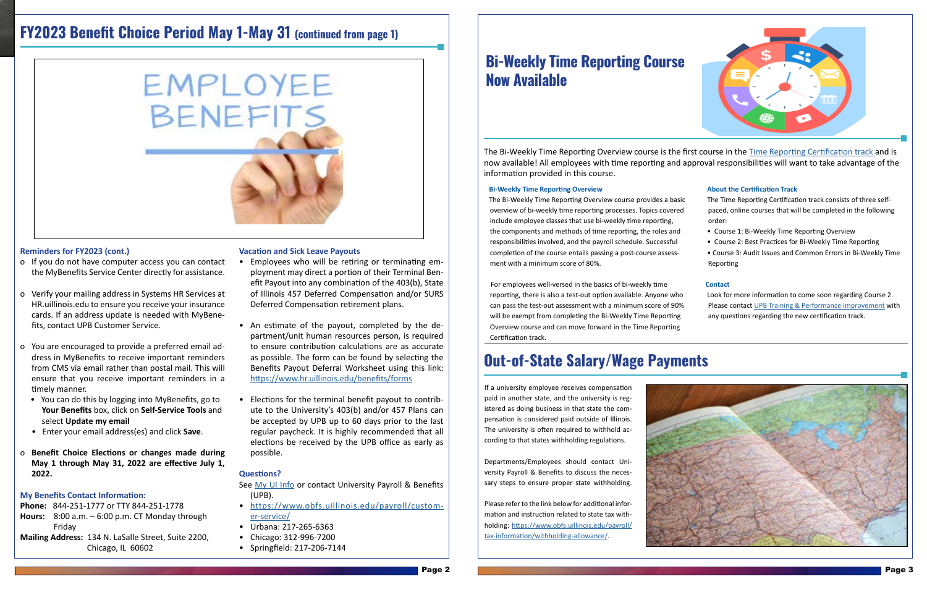# **FY2023 Benefit Choice Period May 1-May 31 (continued from page 1)**

EMPLOYEE

BENEFITS

# **Reminders for FY2023 (cont.)**

- o If you do not have computer access you can contact the MyBenefits Service Center directly for assistance.
- o Verify your mailing address in Systems HR Services at HR.uillinois.edu to ensure you receive your insurance cards. If an address update is needed with MyBenefits, contact UPB Customer Service.
- o You are encouraged to provide a preferred email address in MyBenefits to receive important reminders from CMS via email rather than postal mail. This will ensure that you receive important reminders in a timely manner.
	- You can do this by logging into MyBenefits, go to **Your Benefits** box, click on **Self-Service Tools** and select **Update my email**
	- Enter your email address(es) and click **Save**.
- o **Benefit Choice Elections or changes made during May 1 through May 31, 2022 are effective July 1, 2022.**

### **My Benefits Contact Information:**

**Phone:** 844-251-1777 or TTY 844-251-1778

- **Hours:** 8:00 a.m. 6:00 p.m. CT Monday through Friday
- **Mailing Address:** 134 N. LaSalle Street, Suite 2200, Chicago, IL 60602

### **Vacation and Sick Leave Payouts**

- Employees who will be retiring or terminating employment may direct a portion of their Terminal Benefit Payout into any combination of the 403(b), State of Illinois 457 Deferred Compensation and/or SURS Deferred Compensation retirement plans.
- An estimate of the payout, completed by the department/unit human resources person, is required to ensure contribution calculations are as accurate as possible. The form can be found by selecting the Benefits Payout Deferral Worksheet using this link: <https://www.hr.uillinois.edu/benefits/forms>
- Elections for the terminal benefit payout to contribute to the University's 403(b) and/or 457 Plans can be accepted by UPB up to 60 days prior to the last regular paycheck. It is highly recommended that all elections be received by the UPB office as early as possible.

### **Questions?**

See [My UI Info](https://www.hr.uillinois.edu/myinfo) or contact University Payroll & Benefits (UPB).

- [https://www.obfs.uillinois.edu/payroll/custom](https://www.obfs.uillinois.edu/payroll/customer-service/)[er-service/](https://www.obfs.uillinois.edu/payroll/customer-service/)
- Urbana: 217-265-6363
- Chicago: 312-996-7200
- Springfield: 217-206-7144

The Bi-Weekly Time Reporting Overview course is the first course in the [Time Reporting Certification track a](https://www.obfs.uillinois.edu/cms/one.aspx?portalId=77176&pageId=1229491)nd is now available! All employees with time reporting and approval responsibilities will want to take advantage of the information provided in this course.

#### **Bi-Weekly Time Reporting Overview**

 The Bi-Weekly Time Reporting Overview course provides a basic overview of bi-weekly time reporting processes. Topics covered include employee classes that use bi-weekly time reporting, the components and methods of time reporting, the roles and responsibilities involved, and the payroll schedule. Successful completion of the course entails passing a post-course assessment with a minimum score of 80%.

### **About the Certification Track**

 For employees well-versed in the basics of bi-weekly time reporting, there is also a test-out option available. Anyone who can pass the test-out assessment with a minimum score of 90% will be exempt from completing the Bi-Weekly Time Reporting Overview course and can move forward in the Time Reporting Certification track.  **Contact**  Look for more information to come soon regarding Course 2. Please contact [UPB Training & Performance Improvement](mailto:mailto:obfsupbtraining%40uillinois.edu?subject=) with any questions regarding the new certification track. 

- The Time Reporting Certification track consists of three selfpaced, online courses that will be completed in the following order: • Course 1: Bi-Weekly Time Reporting Overview
	-
	- Course 2: Best Practices for Bi-Weekly Time Reporting
	- Course 3: Audit Issues and Common Errors in Bi-Weekly Time Reporting

# **Out-of-State Salary/Wage Payments**

If a university employee receives compensation paid in another state, and the university is registered as doing business in that state the compensation is considered paid outside of Illinois. The university is often required to withhold according to that states withholding regulations.

Departments/Employees should contact University Payroll & Benefits to discuss the necessary steps to ensure proper state withholding.

Please refer to the link below for additional information and instruction related to state tax withholding: [https://www.obfs.uillinois.edu/payroll/](https://www.obfs.uillinois.edu/payroll/tax-information/withholding-allowance/) [tax-information/withholding-allowance/.](https://www.obfs.uillinois.edu/payroll/tax-information/withholding-allowance/)





# **Bi-Weekly Time Reporting Course Now Available**